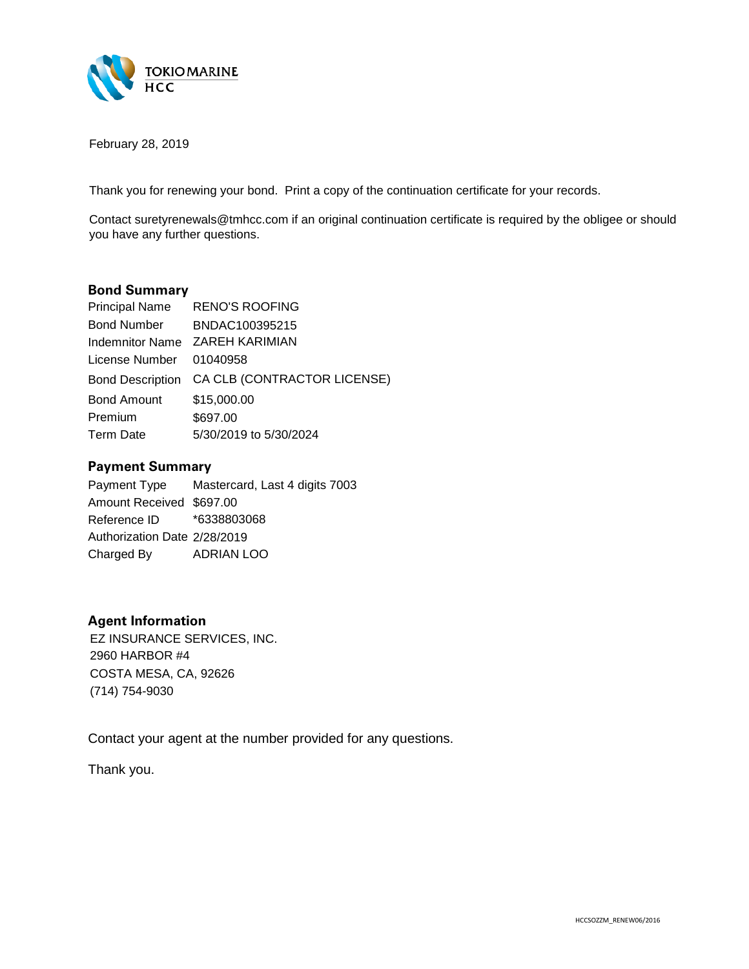

February 28, 2019

Thank you for renewing your bond. Print a copy of the continuation certificate for your records.

Contact suretyrenewals@tmhcc.com if an original continuation certificate is required by the obligee or should you have any further questions.

## **Bond Summary**

| Principal Name          | <b>RENO'S ROOFING</b>                        |
|-------------------------|----------------------------------------------|
| <b>Bond Number</b>      | BNDAC100395215                               |
|                         | Indemnitor Name ZAREH KARIMIAN               |
| License Number 01040958 |                                              |
|                         | Bond Description CA CLB (CONTRACTOR LICENSE) |
| <b>Bond Amount</b>      | \$15,000.00                                  |
| Premium                 | \$697.00                                     |
| <b>Term Date</b>        | 5/30/2019 to 5/30/2024                       |

## **Payment Summary**

Payment Type Amount Received \$697.00 Reference ID Authorization Date 2/28/2019 Charged By ADRIAN LOO \$697.00 \*6338803068 2/28/2019 Mastercard, Last 4 digits 7003

## **Agent Information**

EZ INSURANCE SERVICES, INC.<br>2960 HARBOR #4<br>COSTA MESA, CA, 92626<br>(714) 754-9030

Contact your agent at the number provided for any questions.

Thank you.